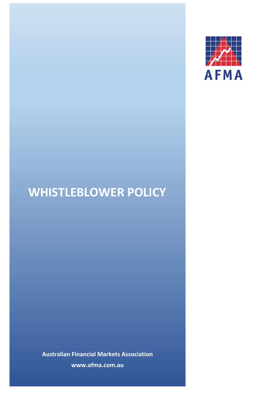

# **WHISTLEBLOWER POLICY**

**Australian Financial Markets Association www.afma.com.au**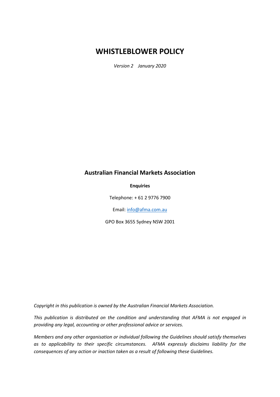# **WHISTLEBLOWER POLICY**

*Version 2 January 2020*

## **Australian Financial Markets Association**

**Enquiries**

Telephone: + 61 2 9776 7900

Email[: info@afma.com.au](mailto:info@afma.com.au)

GPO Box 3655 Sydney NSW 2001

*Copyright in this publication is owned by the Australian Financial Markets Association.*

*This publication is distributed on the condition and understanding that AFMA is not engaged in providing any legal, accounting or other professional advice or services.*

*Members and any other organisation or individual following the Guidelines should satisfy themselves as to applicability to their specific circumstances. AFMA expressly disclaims liability for the consequences of any action or inaction taken as a result of following these Guidelines.*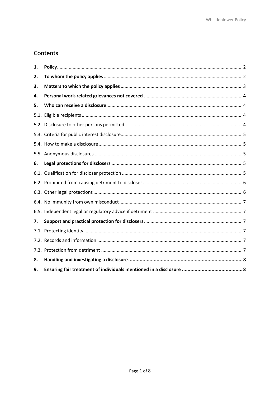## Contents

| 1.   |  |
|------|--|
| 2.   |  |
| 3.   |  |
| 4.   |  |
| 5.   |  |
| 5.1. |  |
|      |  |
|      |  |
|      |  |
|      |  |
| 6.   |  |
|      |  |
|      |  |
|      |  |
|      |  |
|      |  |
| 7.   |  |
|      |  |
|      |  |
|      |  |
| 8.   |  |
| 9.   |  |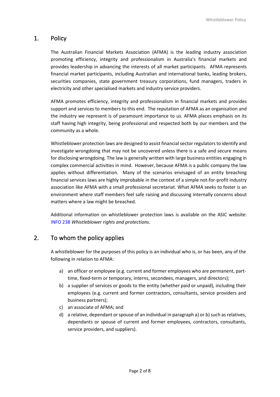## <span id="page-3-0"></span>1. Policy

The Australian Financial Markets Association (AFMA) is the leading industry association promoting efficiency, integrity and professionalism in Australia's financial markets and provides leadership in advancing the interests of all market participants. AFMA represents financial market participants, including Australian and international banks, leading brokers, securities companies, state government treasury corporations, fund managers, traders in electricity and other specialised markets and industry service providers.

AFMA promotes efficiency, integrity and professionalism in financial markets and provides support and services to members to this end. The reputation of AFMA as an organisation and the industry we represent is of paramount importance to us. AFMA places emphasis on its staff having high integrity, being professional and respected both by our members and the community as a whole.

Whistleblower protection laws are designed to assist financial sector regulators to identify and investigate wrongdoing that may not be uncovered unless there is a safe and secure means for disclosing wrongdoing. The law is generally written with large business entities engaging in complex commercial activities in mind. However, because AFMA is a public company the law applies without differentiation. Many of the scenarios envisaged of an entity breaching financial services laws are highly improbable in the context of a simple not-for-profit industry association like AFMA with a small professional secretariat. What AFMA seeks to foster is an environment where staff members feel safe raising and discussing internally concerns about matters where a law might be breached.

Additional information on whistleblower protection laws is available on the ASIC website: INFO 238 *Whistleblower rights and protections*.

## <span id="page-3-1"></span>2. To whom the policy applies

A whistleblower for the purposes of this policy is an individual who is, or has been, any of the following in relation to AFMA:

- a) an officer or employee (e.g. current and former employees who are permanent, parttime, fixed-term or temporary, interns, secondees, managers, and directors);
- b) a supplier of services or goods to the entity (whether paid or unpaid), including their employees (e.g. current and former contractors, consultants, service providers and business partners);
- c) an associate of AFMA; and
- d) a relative, dependant or spouse of an individual in paragraph a) or b) such as relatives, dependants or spouse of current and former employees, contractors, consultants, service providers, and suppliers).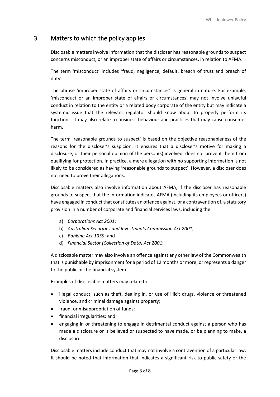## <span id="page-4-0"></span>3. Matters to which the policy applies

Disclosable matters involve information that the discloser has reasonable grounds to suspect concerns misconduct, or an improper state of affairs or circumstances, in relation to AFMA.

The term 'misconduct' includes 'fraud, negligence, default, breach of trust and breach of duty'.

The phrase 'improper state of affairs or circumstances' is general in nature. For example, 'misconduct or an improper state of affairs or circumstances' may not involve unlawful conduct in relation to the entity or a related body corporate of the entity but may indicate a systemic issue that the relevant regulator should know about to properly perform its functions. It may also relate to business behaviour and practices that may cause consumer harm.

The term 'reasonable grounds to suspect' is based on the objective reasonableness of the reasons for the discloser's suspicion. It ensures that a discloser's motive for making a disclosure, or their personal opinion of the person(s) involved, does not prevent them from qualifying for protection. In practice, a mere allegation with no supporting information is not likely to be considered as having 'reasonable grounds to suspect'. However, a discloser does not need to prove their allegations.

Disclosable matters also involve information about AFMA, if the discloser has reasonable grounds to suspect that the information indicates AFMA (including its employees or officers) have engaged in conduct that constitutes an offence against, or a contravention of, a statutory provision in a number of corporate and financial services laws, including the:

- a) *Corporations Act 2001*;
- b) *Australian Securities and Investments Commission Act 2001*;
- c) *Banking Act 1959*; and
- d) *Financial Sector (Collection of Data) Act 2001*;

A disclosable matter may also involve an offence against any other law of the Commonwealth that is punishable by imprisonment for a period of 12 months or more; or represents a danger to the public or the financial system.

Examples of disclosable matters may relate to:

- illegal conduct, such as theft, dealing in, or use of illicit drugs, violence or threatened violence, and criminal damage against property;
- fraud, or misappropriation of funds;
- financial irregularities; and
- engaging in or threatening to engage in detrimental conduct against a person who has made a disclosure or is believed or suspected to have made, or be planning to make, a disclosure.

Disclosable matters include conduct that may not involve a contravention of a particular law. It should be noted that information that indicates a significant risk to public safety or the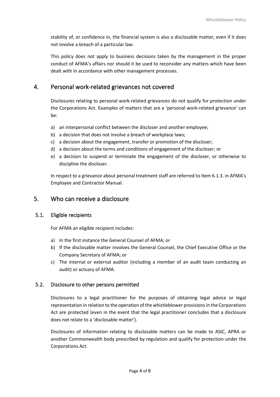stability of, or confidence in, the financial system is also a disclosable matter, even if it does not involve a breach of a particular law.

This policy does not apply to business decisions taken by the management in the proper conduct of AFMA's affairs nor should it be used to reconsider any matters which have been dealt with in accordance with other management processes.

## <span id="page-5-0"></span>4. Personal work-related grievances not covered

Disclosures relating to personal work-related grievances do not qualify for protection under the Corporations Act. Examples of matters that are a 'personal work-related grievance' can be:

- a) an interpersonal conflict between the discloser and another employee;
- b) a decision that does not involve a breach of workplace laws;
- c) a decision about the engagement, transfer or promotion of the discloser;
- d) a decision about the terms and conditions of engagement of the discloser; or
- e) a decision to suspend or terminate the engagement of the discloser, or otherwise to discipline the discloser.

In respect to a grievance about personal treatment staff are referred to Item 6.1.3. in AFMA's Employee and Contractor Manual.

## <span id="page-5-1"></span>5. Who can receive a disclosure

#### <span id="page-5-2"></span>5.1. Eligible recipients

For AFMA an eligible recipient includes:

- a) In the first instance the General Counsel of AFMA; or
- b) If the disclosable matter involves the General Counsel, the Chief Executive Office or the Company Secretary of AFMA; or
- c) The internal or external auditor (including a member of an audit team conducting an audit) or actuary of AFMA.

#### <span id="page-5-3"></span>5.2. Disclosure to other persons permitted

Disclosures to a legal practitioner for the purposes of obtaining legal advice or legal representation in relation to the operation of the whistleblower provisions in the Corporations Act are protected (even in the event that the legal practitioner concludes that a disclosure does not relate to a 'disclosable matter').

Disclosures of information relating to disclosable matters can be made to ASIC, APRA or another Commonwealth body prescribed by regulation and qualify for protection under the Corporations Act.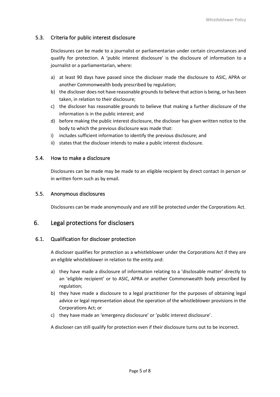## <span id="page-6-0"></span>5.3. Criteria for public interest disclosure

Disclosures can be made to a journalist or parliamentarian under certain circumstances and qualify for protection. A 'public interest disclosure' is the disclosure of information to a journalist or a parliamentarian, where:

- a) at least 90 days have passed since the discloser made the disclosure to ASIC, APRA or another Commonwealth body prescribed by regulation;
- b) the discloser does not have reasonable grounds to believe that action is being, or has been taken, in relation to their disclosure;
- c) the discloser has reasonable grounds to believe that making a further disclosure of the information is in the public interest; and
- d) before making the public interest disclosure, the discloser has given written notice to the body to which the previous disclosure was made that:
- i) includes sufficient information to identify the previous disclosure; and
- ii) states that the discloser intends to make a public interest disclosure.

#### <span id="page-6-1"></span>5.4. How to make a disclosure

Disclosures can be made may be made to an eligible recipient by direct contact in person or in written form such as by email.

#### <span id="page-6-2"></span>5.5. Anonymous disclosures

Disclosures can be made anonymously and are still be protected under the Corporations Act.

## <span id="page-6-3"></span>6. Legal protections for disclosers

#### <span id="page-6-4"></span>6.1. Qualification for discloser protection

A discloser qualifies for protection as a whistleblower under the Corporations Act if they are an eligible whistleblower in relation to the entity and:

- a) they have made a disclosure of information relating to a 'disclosable matter' directly to an 'eligible recipient' or to ASIC, APRA or another Commonwealth body prescribed by regulation;
- b) they have made a disclosure to a legal practitioner for the purposes of obtaining legal advice or legal representation about the operation of the whistleblower provisions in the Corporations Act; or
- c) they have made an 'emergency disclosure' or 'public interest disclosure'.

A discloser can still qualify for protection even if their disclosure turns out to be incorrect.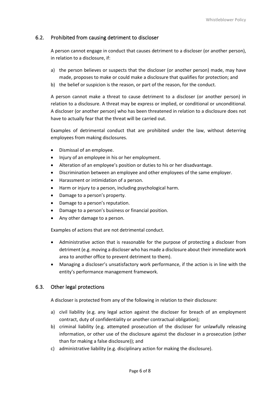## <span id="page-7-0"></span>6.2. Prohibited from causing detriment to discloser

A person cannot engage in conduct that causes detriment to a discloser (or another person), in relation to a disclosure, if:

- a) the person believes or suspects that the discloser (or another person) made, may have made, proposes to make or could make a disclosure that qualifies for protection; and
- b) the belief or suspicion is the reason, or part of the reason, for the conduct.

A person cannot make a threat to cause detriment to a discloser (or another person) in relation to a disclosure. A threat may be express or implied, or conditional or unconditional. A discloser (or another person) who has been threatened in relation to a disclosure does not have to actually fear that the threat will be carried out.

Examples of detrimental conduct that are prohibited under the law, without deterring employees from making disclosures.

- Dismissal of an employee.
- Injury of an employee in his or her employment.
- Alteration of an employee's position or duties to his or her disadvantage.
- Discrimination between an employee and other employees of the same employer.
- Harassment or intimidation of a person.
- Harm or injury to a person, including psychological harm.
- Damage to a person's property.
- Damage to a person's reputation.
- Damage to a person's business or financial position.
- Any other damage to a person.

Examples of actions that are not detrimental conduct.

- Administrative action that is reasonable for the purpose of protecting a discloser from detriment (e.g. moving a discloser who has made a disclosure about their immediate work area to another office to prevent detriment to them).
- Managing a discloser's unsatisfactory work performance, if the action is in line with the entity's performance management framework.

#### <span id="page-7-1"></span>6.3. Other legal protections

A discloser is protected from any of the following in relation to their disclosure:

- a) civil liability (e.g. any legal action against the discloser for breach of an employment contract, duty of confidentiality or another contractual obligation);
- b) criminal liability (e.g. attempted prosecution of the discloser for unlawfully releasing information, or other use of the disclosure against the discloser in a prosecution (other than for making a false disclosure)); and
- c) administrative liability (e.g. disciplinary action for making the disclosure).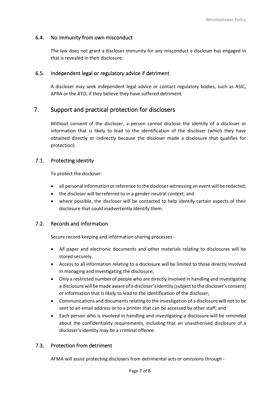### <span id="page-8-0"></span>6.4. No immunity from own misconduct

The law does not grant a discloser immunity for any misconduct a discloser has engaged in that is revealed in their disclosure.

### <span id="page-8-1"></span>6.5. Independent legal or regulatory advice if detriment

A discloser may seek independent legal advice or contact regulatory bodies, such as ASIC, APRA or the ATO, if they believe they have suffered detriment.

## <span id="page-8-2"></span>7. Support and practical protection for disclosers

Without consent of the discloser, a person cannot disclose the identity of a discloser or information that is likely to lead to the identification of the discloser (which they have obtained directly or indirectly because the discloser made a disclosure that qualifies for protection).

#### <span id="page-8-3"></span>7.1. Protecting identity

To protect the discloser:

- all personal information or reference to the discloser witnessing an event will be redacted;
- the discloser will be referred to in a gender-neutral context; and
- where possible, the discloser will be contacted to help identify certain aspects of their disclosure that could inadvertently identify them.

#### <span id="page-8-4"></span>7.2. Records and information

Secure record-keeping and information-sharing processes -

- All paper and electronic documents and other materials relating to disclosures will be stored securely.
- Access to all information relating to a disclosure will be limited to those directly involved in managing and investigating the disclosure;
- Only a restricted number of people who are directly involved in handling and investigating a disclosure will be made aware of a discloser's identity (subject to the discloser's consent) or information that is likely to lead to the identification of the discloser;
- Communications and documents relating to the investigation of a disclosure will not to be sent to an email address or to a printer that can be accessed by other staff; and
- Each person who is involved in handling and investigating a disclosure will be reminded about the confidentiality requirements, including that an unauthorised disclosure of a discloser's identity may be a criminal offence.

#### <span id="page-8-5"></span>7.3. Protection from detriment

AFMA will assist protecting disclosers from detrimental acts or omissions through -